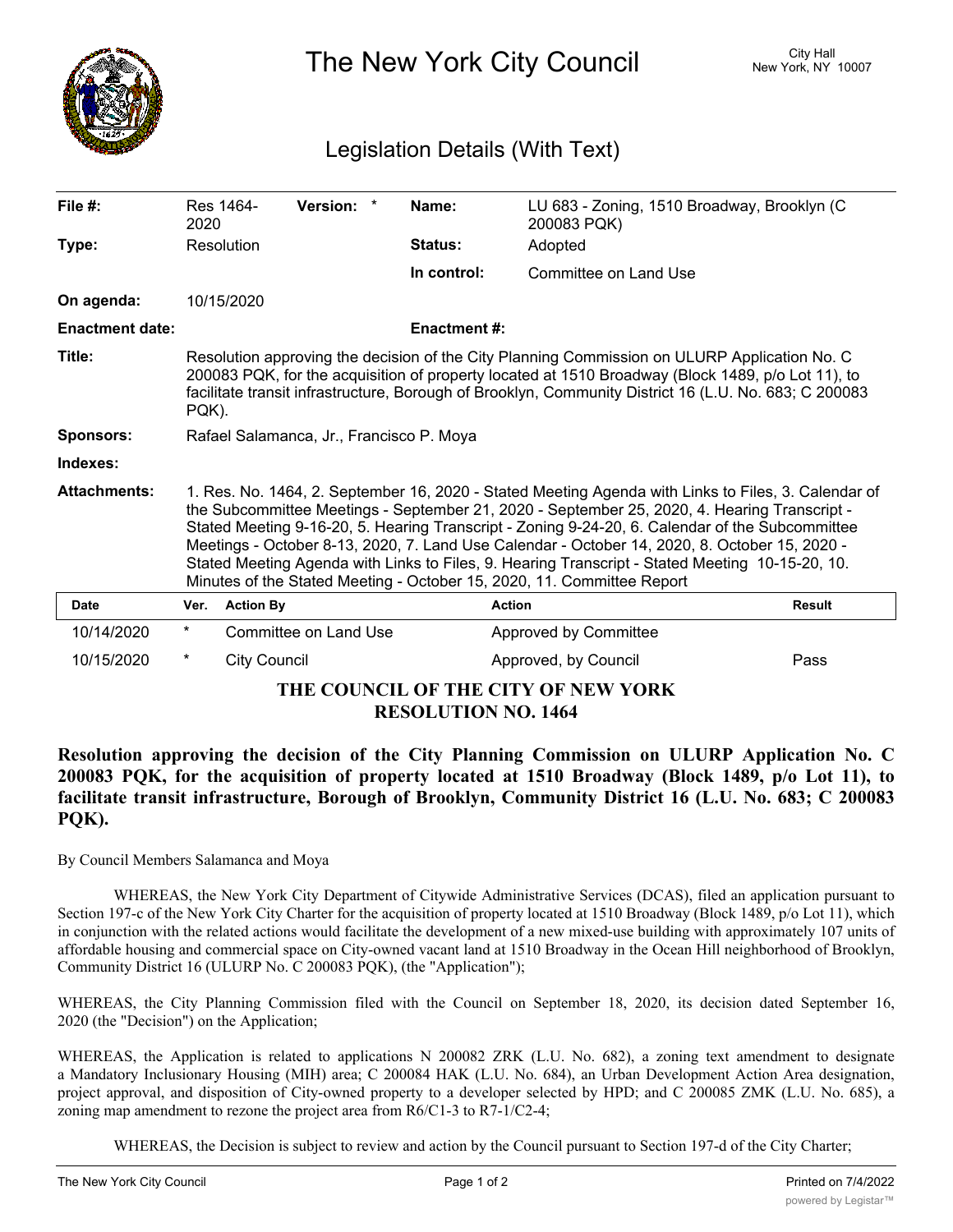

The New York City Council New York, NY 10007

## Legislation Details (With Text)

| File $#$ :                                                        | Res 1464-<br>2020                                                                                                                                                                                                                                                                                                                                                                                                                                                                                                                                                                    |                       | Version: * |  | Name:               | LU 683 - Zoning, 1510 Broadway, Brooklyn (C<br>200083 PQK) |               |
|-------------------------------------------------------------------|--------------------------------------------------------------------------------------------------------------------------------------------------------------------------------------------------------------------------------------------------------------------------------------------------------------------------------------------------------------------------------------------------------------------------------------------------------------------------------------------------------------------------------------------------------------------------------------|-----------------------|------------|--|---------------------|------------------------------------------------------------|---------------|
| Type:                                                             | Resolution                                                                                                                                                                                                                                                                                                                                                                                                                                                                                                                                                                           |                       |            |  | <b>Status:</b>      | Adopted                                                    |               |
|                                                                   |                                                                                                                                                                                                                                                                                                                                                                                                                                                                                                                                                                                      |                       |            |  | In control:         | Committee on Land Use                                      |               |
| On agenda:                                                        | 10/15/2020                                                                                                                                                                                                                                                                                                                                                                                                                                                                                                                                                                           |                       |            |  |                     |                                                            |               |
| <b>Enactment date:</b>                                            |                                                                                                                                                                                                                                                                                                                                                                                                                                                                                                                                                                                      |                       |            |  | <b>Enactment #:</b> |                                                            |               |
| Title:                                                            | Resolution approving the decision of the City Planning Commission on ULURP Application No. C<br>200083 PQK, for the acquisition of property located at 1510 Broadway (Block 1489, p/o Lot 11), to<br>facilitate transit infrastructure, Borough of Brooklyn, Community District 16 (L.U. No. 683; C 200083<br>PQK).                                                                                                                                                                                                                                                                  |                       |            |  |                     |                                                            |               |
| <b>Sponsors:</b>                                                  | Rafael Salamanca, Jr., Francisco P. Moya                                                                                                                                                                                                                                                                                                                                                                                                                                                                                                                                             |                       |            |  |                     |                                                            |               |
| Indexes:                                                          |                                                                                                                                                                                                                                                                                                                                                                                                                                                                                                                                                                                      |                       |            |  |                     |                                                            |               |
| <b>Attachments:</b>                                               | 1. Res. No. 1464, 2. September 16, 2020 - Stated Meeting Agenda with Links to Files, 3. Calendar of<br>the Subcommittee Meetings - September 21, 2020 - September 25, 2020, 4. Hearing Transcript -<br>Stated Meeting 9-16-20, 5. Hearing Transcript - Zoning 9-24-20, 6. Calendar of the Subcommittee<br>Meetings - October 8-13, 2020, 7. Land Use Calendar - October 14, 2020, 8. October 15, 2020 -<br>Stated Meeting Agenda with Links to Files, 9. Hearing Transcript - Stated Meeting 10-15-20, 10.<br>Minutes of the Stated Meeting - October 15, 2020, 11. Committee Report |                       |            |  |                     |                                                            |               |
| <b>Date</b>                                                       | Ver.                                                                                                                                                                                                                                                                                                                                                                                                                                                                                                                                                                                 | <b>Action By</b>      |            |  |                     | <b>Action</b>                                              | <b>Result</b> |
| 10/14/2020                                                        | $\star$                                                                                                                                                                                                                                                                                                                                                                                                                                                                                                                                                                              | Committee on Land Use |            |  |                     | Approved by Committee                                      |               |
| 10/15/2020                                                        | $^\star$                                                                                                                                                                                                                                                                                                                                                                                                                                                                                                                                                                             | <b>City Council</b>   |            |  |                     | Approved, by Council                                       | Pass          |
| THE COUNCIL OF THE CITY OF NEW YORK<br><b>RESOLUTION NO. 1464</b> |                                                                                                                                                                                                                                                                                                                                                                                                                                                                                                                                                                                      |                       |            |  |                     |                                                            |               |

**Resolution approving the decision of the City Planning Commission on ULURP Application No. C 200083 PQK, for the acquisition of property located at 1510 Broadway (Block 1489, p/o Lot 11), to facilitate transit infrastructure, Borough of Brooklyn, Community District 16 (L.U. No. 683; C 200083 PQK).**

By Council Members Salamanca and Moya

WHEREAS, the New York City Department of Citywide Administrative Services (DCAS), filed an application pursuant to Section 197-c of the New York City Charter for the acquisition of property located at 1510 Broadway (Block 1489, p/o Lot 11), which in conjunction with the related actions would facilitate the development of a new mixed-use building with approximately 107 units of affordable housing and commercial space on City-owned vacant land at 1510 Broadway in the Ocean Hill neighborhood of Brooklyn, Community District 16 (ULURP No. C 200083 PQK), (the "Application");

WHEREAS, the City Planning Commission filed with the Council on September 18, 2020, its decision dated September 16, 2020 (the "Decision") on the Application;

WHEREAS, the Application is related to applications N 200082 ZRK (L.U. No. 682), a zoning text amendment to designate a Mandatory Inclusionary Housing (MIH) area; C 200084 HAK (L.U. No. 684), an Urban Development Action Area designation, project approval, and disposition of City-owned property to a developer selected by HPD; and C 200085 ZMK (L.U. No. 685), a zoning map amendment to rezone the project area from R6/C1-3 to R7-1/C2-4;

WHEREAS, the Decision is subject to review and action by the Council pursuant to Section 197-d of the City Charter;